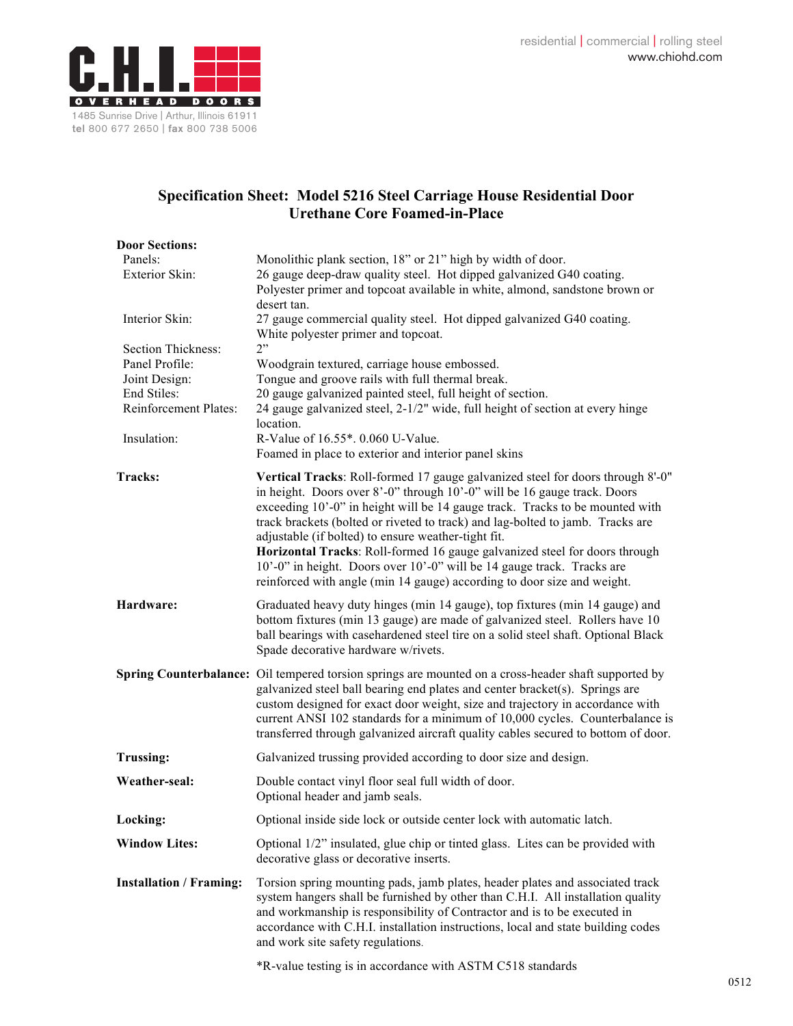

## **Specification Sheet: Model 5216 Steel Carriage House Residential Door Urethane Core Foamed-in-Place**

| <b>Door Sections:</b>                                                                                        |                                                                                                                                                                                                                                                                                                                                                                                                                                                                                                                                                                                                                        |
|--------------------------------------------------------------------------------------------------------------|------------------------------------------------------------------------------------------------------------------------------------------------------------------------------------------------------------------------------------------------------------------------------------------------------------------------------------------------------------------------------------------------------------------------------------------------------------------------------------------------------------------------------------------------------------------------------------------------------------------------|
| Panels:<br>Exterior Skin:                                                                                    | Monolithic plank section, 18" or 21" high by width of door.<br>26 gauge deep-draw quality steel. Hot dipped galvanized G40 coating.<br>Polyester primer and topcoat available in white, almond, sandstone brown or                                                                                                                                                                                                                                                                                                                                                                                                     |
| Interior Skin:                                                                                               | desert tan.<br>27 gauge commercial quality steel. Hot dipped galvanized G40 coating.<br>White polyester primer and topcoat.                                                                                                                                                                                                                                                                                                                                                                                                                                                                                            |
| Section Thickness:<br>Panel Profile:<br>Joint Design:<br>End Stiles:<br>Reinforcement Plates:<br>Insulation: | 2"<br>Woodgrain textured, carriage house embossed.<br>Tongue and groove rails with full thermal break.<br>20 gauge galvanized painted steel, full height of section.<br>24 gauge galvanized steel, 2-1/2" wide, full height of section at every hinge<br>location.<br>R-Value of 16.55*. 0.060 U-Value.<br>Foamed in place to exterior and interior panel skins                                                                                                                                                                                                                                                        |
| Tracks:                                                                                                      | Vertical Tracks: Roll-formed 17 gauge galvanized steel for doors through 8'-0"<br>in height. Doors over 8'-0" through 10'-0" will be 16 gauge track. Doors<br>exceeding 10'-0" in height will be 14 gauge track. Tracks to be mounted with<br>track brackets (bolted or riveted to track) and lag-bolted to jamb. Tracks are<br>adjustable (if bolted) to ensure weather-tight fit.<br>Horizontal Tracks: Roll-formed 16 gauge galvanized steel for doors through<br>10'-0" in height. Doors over 10'-0" will be 14 gauge track. Tracks are<br>reinforced with angle (min 14 gauge) according to door size and weight. |
| Hardware:                                                                                                    | Graduated heavy duty hinges (min 14 gauge), top fixtures (min 14 gauge) and<br>bottom fixtures (min 13 gauge) are made of galvanized steel. Rollers have 10<br>ball bearings with casehardened steel tire on a solid steel shaft. Optional Black<br>Spade decorative hardware w/rivets.                                                                                                                                                                                                                                                                                                                                |
|                                                                                                              | Spring Counterbalance: Oil tempered torsion springs are mounted on a cross-header shaft supported by<br>galvanized steel ball bearing end plates and center bracket(s). Springs are<br>custom designed for exact door weight, size and trajectory in accordance with<br>current ANSI 102 standards for a minimum of 10,000 cycles. Counterbalance is<br>transferred through galvanized aircraft quality cables secured to bottom of door.                                                                                                                                                                              |
| <b>Trussing:</b>                                                                                             | Galvanized trussing provided according to door size and design.                                                                                                                                                                                                                                                                                                                                                                                                                                                                                                                                                        |
| Weather-seal:                                                                                                | Double contact vinyl floor seal full width of door.<br>Optional header and jamb seals.                                                                                                                                                                                                                                                                                                                                                                                                                                                                                                                                 |
| Locking:                                                                                                     | Optional inside side lock or outside center lock with automatic latch.                                                                                                                                                                                                                                                                                                                                                                                                                                                                                                                                                 |
| <b>Window Lites:</b>                                                                                         | Optional 1/2" insulated, glue chip or tinted glass. Lites can be provided with<br>decorative glass or decorative inserts.                                                                                                                                                                                                                                                                                                                                                                                                                                                                                              |
| <b>Installation / Framing:</b>                                                                               | Torsion spring mounting pads, jamb plates, header plates and associated track<br>system hangers shall be furnished by other than C.H.I. All installation quality<br>and workmanship is responsibility of Contractor and is to be executed in<br>accordance with C.H.I. installation instructions, local and state building codes<br>and work site safety regulations.                                                                                                                                                                                                                                                  |
|                                                                                                              | *R-value testing is in accordance with ASTM C518 standards                                                                                                                                                                                                                                                                                                                                                                                                                                                                                                                                                             |